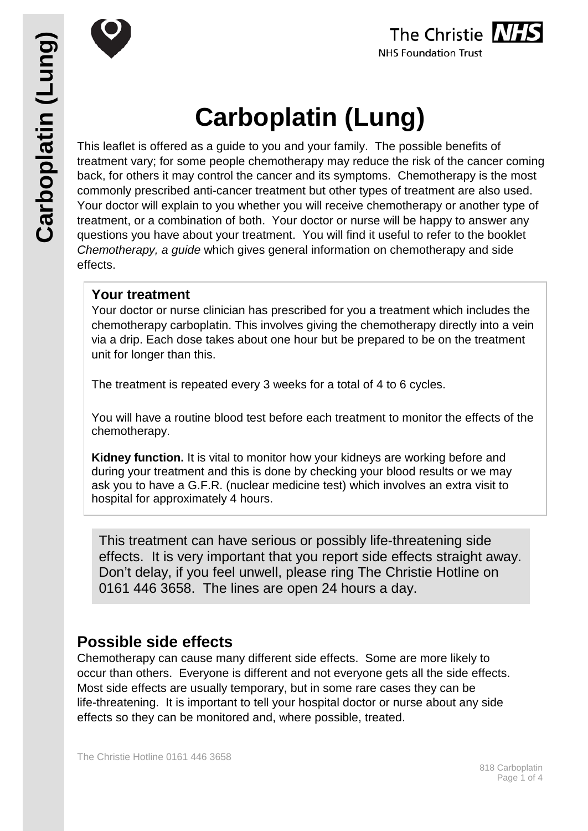



# **Carboplatin (Lung)**

This leaflet is offered as a guide to you and your family. The possible benefits of treatment vary; for some people chemotherapy may reduce the risk of the cancer coming back, for others it may control the cancer and its symptoms. Chemotherapy is the most commonly prescribed anti-cancer treatment but other types of treatment are also used. Your doctor will explain to you whether you will receive chemotherapy or another type of treatment, or a combination of both. Your doctor or nurse will be happy to answer any questions you have about your treatment. You will find it useful to refer to the booklet *Chemotherapy, a guide* which gives general information on chemotherapy and side effects.

# **Your treatment**

Your doctor or nurse clinician has prescribed for you a treatment which includes the chemotherapy carboplatin. This involves giving the chemotherapy directly into a vein via a drip. Each dose takes about one hour but be prepared to be on the treatment unit for longer than this.

The treatment is repeated every 3 weeks for a total of 4 to 6 cycles.

You will have a routine blood test before each treatment to monitor the effects of the chemotherapy.

**Kidney function.** It is vital to monitor how your kidneys are working before and during your treatment and this is done by checking your blood results or we may ask you to have a G.F.R. (nuclear medicine test) which involves an extra visit to hospital for approximately 4 hours.

 0161 446 3658. The lines are open 24 hours a day.This treatment can have serious or possibly life-threatening side effects. It is very important that you report side effects straight away. Don't delay, if you feel unwell, please ring The Christie Hotline on

# **Possible side effects**

Chemotherapy can cause many different side effects. Some are more likely to occur than others. Everyone is different and not everyone gets all the side effects. Most side effects are usually temporary, but in some rare cases they can be life-threatening. It is important to tell your hospital doctor or nurse about any side effects so they can be monitored and, where possible, treated.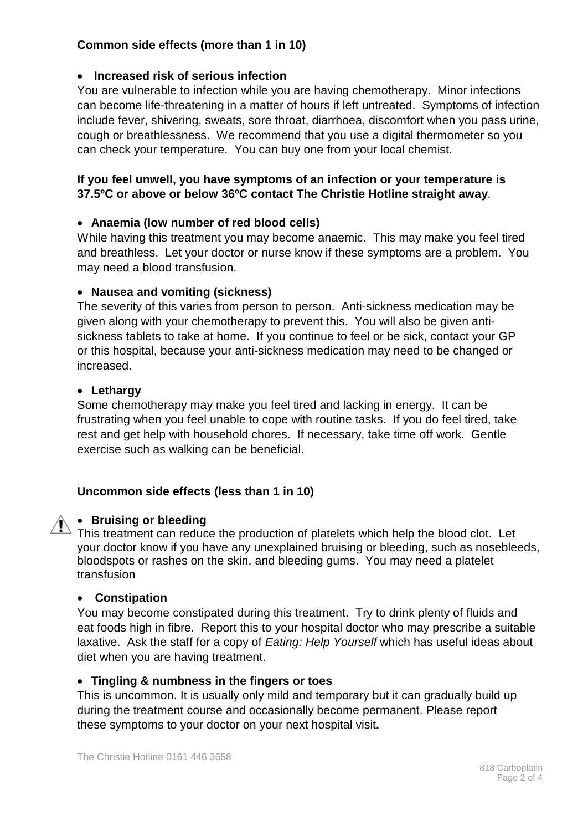# **Common side effects (more than 1 in 10)**

# • **Increased risk of serious infection**

You are vulnerable to infection while you are having chemotherapy. Minor infections can become life-threatening in a matter of hours if left untreated. Symptoms of infection include fever, shivering, sweats, sore throat, diarrhoea, discomfort when you pass urine, cough or breathlessness. We recommend that you use a digital thermometer so you can check your temperature. You can buy one from your local chemist.

# **If you feel unwell, you have symptoms of an infection or your temperature is 37.5ºC or above or below 36ºC contact The Christie Hotline straight away**.

## • **Anaemia (low number of red blood cells)**

While having this treatment you may become anaemic. This may make you feel tired and breathless. Let your doctor or nurse know if these symptoms are a problem. You may need a blood transfusion.

## • **Nausea and vomiting (sickness)**

The severity of this varies from person to person. Anti-sickness medication may be given along with your chemotherapy to prevent this. You will also be given antisickness tablets to take at home. If you continue to feel or be sick, contact your GP or this hospital, because your anti-sickness medication may need to be changed or increased.

## • **Lethargy**

Some chemotherapy may make you feel tired and lacking in energy. It can be frustrating when you feel unable to cope with routine tasks. If you do feel tired, take rest and get help with household chores. If necessary, take time off work. Gentle exercise such as walking can be beneficial.

# **Uncommon side effects (less than 1 in 10)**

# • **Bruising or bleeding**

This treatment can reduce the production of platelets which help the blood clot. Let your doctor know if you have any unexplained bruising or bleeding, such as nosebleeds, bloodspots or rashes on the skin, and bleeding gums. You may need a platelet transfusion

# • **Constipation**

You may become constipated during this treatment. Try to drink plenty of fluids and eat foods high in fibre. Report this to your hospital doctor who may prescribe a suitable laxative. Ask the staff for a copy of *Eating: Help Yourself* which has useful ideas about diet when you are having treatment.

### • **Tingling & numbness in the fingers or toes**

This is uncommon. It is usually only mild and temporary but it can gradually build up during the treatment course and occasionally become permanent. Please report these symptoms to your doctor on your next hospital visit**.**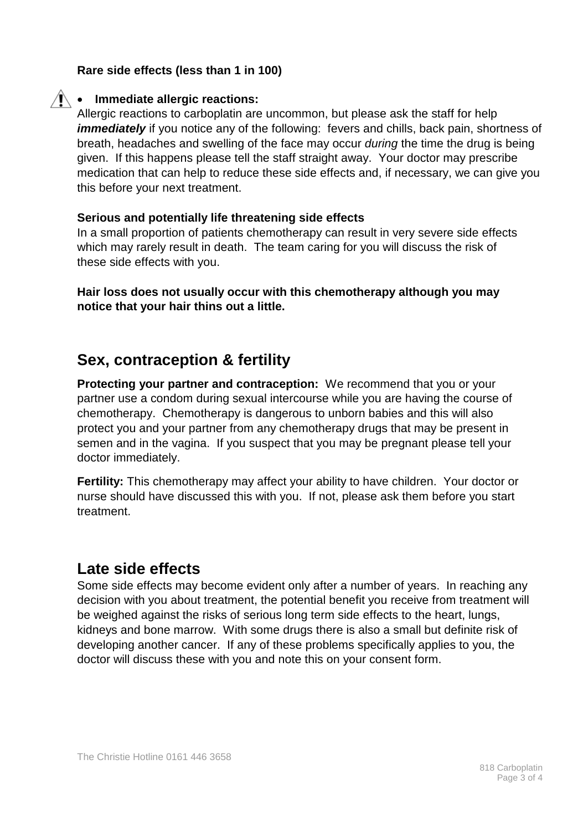### **Rare side effects (less than 1 in 100)**



# • **Immediate allergic reactions:**

Allergic reactions to carboplatin are uncommon, but please ask the staff for help *immediately* if you notice any of the following: fevers and chills, back pain, shortness of breath, headaches and swelling of the face may occur *during* the time the drug is being given. If this happens please tell the staff straight away. Your doctor may prescribe medication that can help to reduce these side effects and, if necessary, we can give you this before your next treatment.

### **Serious and potentially life threatening side effects**

In a small proportion of patients chemotherapy can result in very severe side effects which may rarely result in death. The team caring for you will discuss the risk of these side effects with you.

**Hair loss does not usually occur with this chemotherapy although you may notice that your hair thins out a little.**

# **Sex, contraception & fertility**

**Protecting your partner and contraception:** We recommend that you or your partner use a condom during sexual intercourse while you are having the course of chemotherapy. Chemotherapy is dangerous to unborn babies and this will also protect you and your partner from any chemotherapy drugs that may be present in semen and in the vagina. If you suspect that you may be pregnant please tell your doctor immediately.

**Fertility:** This chemotherapy may affect your ability to have children. Your doctor or nurse should have discussed this with you. If not, please ask them before you start treatment.

# **Late side effects**

Some side effects may become evident only after a number of years. In reaching any decision with you about treatment, the potential benefit you receive from treatment will be weighed against the risks of serious long term side effects to the heart, lungs, kidneys and bone marrow. With some drugs there is also a small but definite risk of developing another cancer. If any of these problems specifically applies to you, the doctor will discuss these with you and note this on your consent form.